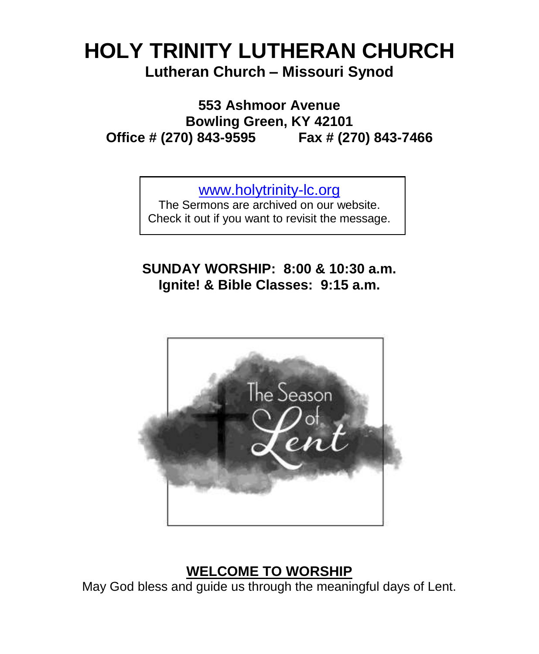# **HOLY TRINITY LUTHERAN CHURCH Lutheran Church – Missouri Synod**

**553 Ashmoor Avenue Bowling Green, KY 42101 Office # (270) 843-9595 Fax # (270) 843-7466**

[www.holytrinity-lc.org](http://www.holytrinity-lc.org/)

The Sermons are archived on our website. Check it out if you want to revisit the message.

**SUNDAY WORSHIP: 8:00 & 10:30 a.m. Ignite! & Bible Classes: 9:15 a.m.**



## **WELCOME TO WORSHIP**

May God bless and guide us through the meaningful days of Lent.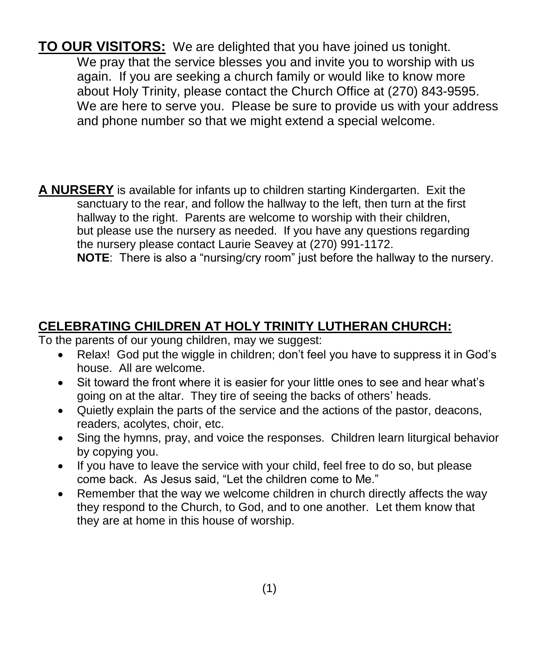**TO OUR VISITORS:** We are delighted that you have joined us tonight. We pray that the service blesses you and invite you to worship with us again. If you are seeking a church family or would like to know more about Holy Trinity, please contact the Church Office at (270) 843-9595. We are here to serve you. Please be sure to provide us with your address and phone number so that we might extend a special welcome.

**A NURSERY** is available for infants up to children starting Kindergarten. Exit the sanctuary to the rear, and follow the hallway to the left, then turn at the first hallway to the right. Parents are welcome to worship with their children, but please use the nursery as needed. If you have any questions regarding the nursery please contact Laurie Seavey at (270) 991-1172. **NOTE**: There is also a "nursing/cry room" just before the hallway to the nursery.

## **CELEBRATING CHILDREN AT HOLY TRINITY LUTHERAN CHURCH:**

To the parents of our young children, may we suggest:

- Relax! God put the wiggle in children; don't feel you have to suppress it in God's house. All are welcome.
- Sit toward the front where it is easier for your little ones to see and hear what's going on at the altar. They tire of seeing the backs of others' heads.
- Quietly explain the parts of the service and the actions of the pastor, deacons, readers, acolytes, choir, etc.
- Sing the hymns, pray, and voice the responses. Children learn liturgical behavior by copying you.
- If you have to leave the service with your child, feel free to do so, but please come back. As Jesus said, "Let the children come to Me."
- Remember that the way we welcome children in church directly affects the way they respond to the Church, to God, and to one another. Let them know that they are at home in this house of worship.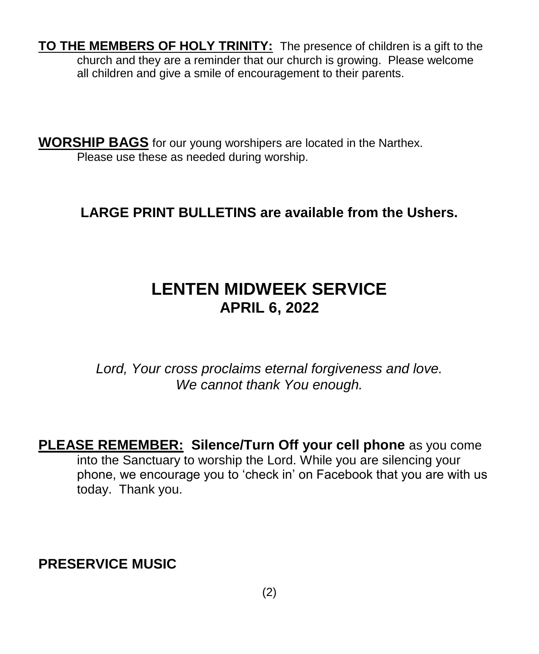**TO THE MEMBERS OF HOLY TRINITY:** The presence of children is a gift to the church and they are a reminder that our church is growing. Please welcome all children and give a smile of encouragement to their parents.

**WORSHIP BAGS** for our young worshipers are located in the Narthex. Please use these as needed during worship.

## **LARGE PRINT BULLETINS are available from the Ushers.**

# **LENTEN MIDWEEK SERVICE APRIL 6, 2022**

*Lord, Your cross proclaims eternal forgiveness and love. We cannot thank You enough.*

**PLEASE REMEMBER: Silence/Turn Off your cell phone** as you come into the Sanctuary to worship the Lord. While you are silencing your phone, we encourage you to 'check in' on Facebook that you are with us today. Thank you.

**PRESERVICE MUSIC**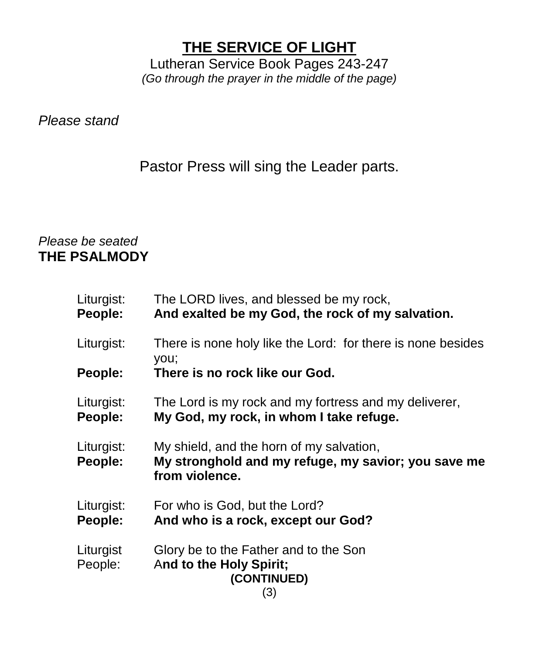# **THE SERVICE OF LIGHT**

Lutheran Service Book Pages 243-247 *(Go through the prayer in the middle of the page)*

*Please stand*

Pastor Press will sing the Leader parts.

### *Please be seated* **THE PSALMODY**

| Liturgist:<br>People: | The LORD lives, and blessed be my rock,<br>And exalted be my God, the rock of my salvation.                       |
|-----------------------|-------------------------------------------------------------------------------------------------------------------|
| Liturgist:            | There is none holy like the Lord: for there is none besides<br>you;                                               |
| People:               | There is no rock like our God.                                                                                    |
| Liturgist:<br>People: | The Lord is my rock and my fortress and my deliverer,<br>My God, my rock, in whom I take refuge.                  |
| Liturgist:<br>People: | My shield, and the horn of my salvation,<br>My stronghold and my refuge, my savior; you save me<br>from violence. |
| Liturgist:<br>People: | For who is God, but the Lord?<br>And who is a rock, except our God?                                               |
| Liturgist<br>People:  | Glory be to the Father and to the Son<br>And to the Holy Spirit;<br>(CONTINUED)<br>(3)                            |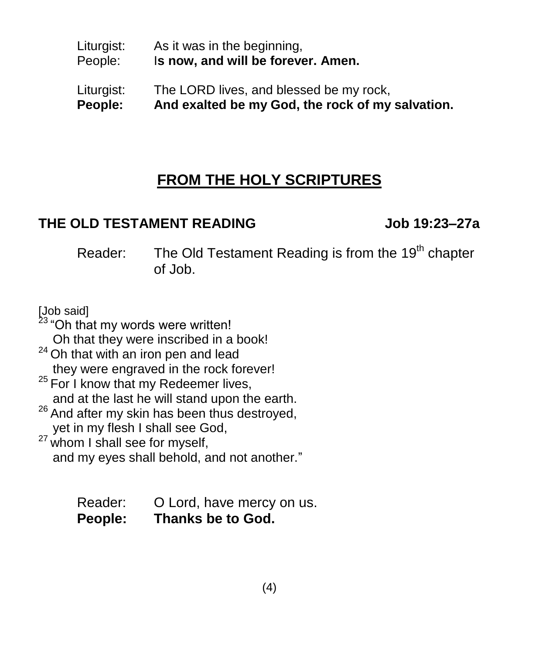#### Liturgist: As it was in the beginning, People: I**s now, and will be forever. Amen.**

#### Liturgist: The LORD lives, and blessed be my rock, **People: And exalted be my God, the rock of my salvation.**

# **FROM THE HOLY SCRIPTURES**

### **THE OLD TESTAMENT READING Job 19:23–27a**

Reader: The Old Testament Reading is from the 19<sup>th</sup> chapter of Job.

[Job said]

<sup>23</sup> "Oh that my words were written!

Oh that they were inscribed in a book!

- $24$  Oh that with an iron pen and lead they were engraved in the rock forever!
- <sup>25</sup> For I know that my Redeemer lives, and at the last he will stand upon the earth.
- <sup>26</sup> And after my skin has been thus destroyed, yet in my flesh I shall see God,

 $27$  whom I shall see for myself, and my eyes shall behold, and not another."

> Reader: O Lord, have mercy on us. **People: Thanks be to God.**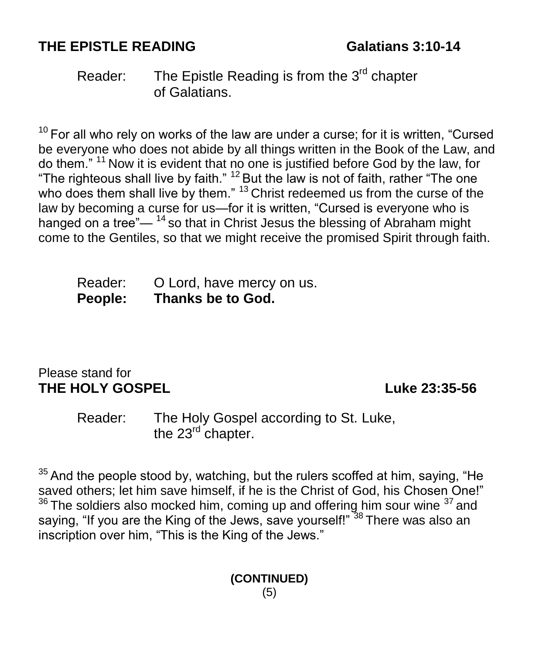# **THE EPISTLE READING Galatians 3:10-14**

Reader: The Epistle Reading is from the 3<sup>rd</sup> chapter of Galatians.

 $10$  For all who rely on works of the law are under a curse; for it is written, "Cursed be everyone who does not abide by all things written in the Book of the Law, and do them." <sup>11</sup> Now it is evident that no one is justified before God by the law, for "The righteous shall live by faith."  $^{12}$  But the law is not of faith, rather "The one who does them shall live by them." <sup>13</sup> Christ redeemed us from the curse of the law by becoming a curse for us—for it is written, "Cursed is everyone who is hanged on a tree" $-$ <sup>14</sup> so that in Christ Jesus the blessing of Abraham might come to the Gentiles, so that we might receive the promised Spirit through faith.

| Reader:        | O Lord, have mercy on us. |
|----------------|---------------------------|
| <b>People:</b> | Thanks be to God.         |

#### Please stand for **THE HOLY GOSPEL Luke 23:35-56**

Reader: The Holy Gospel according to St. Luke, the 23<sup>rd</sup> chapter.

 $35$  And the people stood by, watching, but the rulers scoffed at him, saying, "He saved others; let him save himself, if he is the Christ of God, his Chosen One!"  $36$  The soldiers also mocked him, coming up and offering him sour wine  $37$  and saying, "If you are the King of the Jews, save yourself!"<sup>38</sup> There was also an inscription over him, "This is the King of the Jews."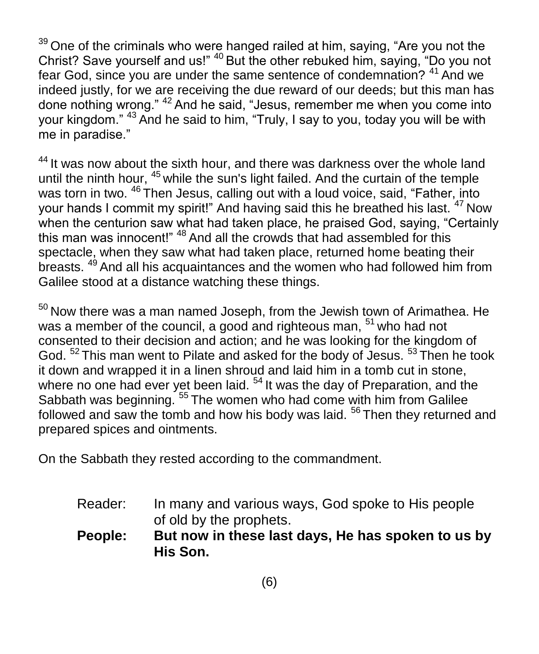$39$  One of the criminals who were hanged railed at him, saying, "Are you not the Christ? Save yourself and us!" <sup>40</sup> But the other rebuked him, saying, "Do you not fear God, since you are under the same sentence of condemnation? <sup>41</sup> And we indeed justly, for we are receiving the due reward of our deeds; but this man has done nothing wrong." <sup>42</sup> And he said, "Jesus, remember me when you come into your kingdom." <sup>43</sup> And he said to him, "Truly, I say to you, today you will be with me in paradise."

 $44$  It was now about the sixth hour, and there was darkness over the whole land until the ninth hour, <sup>45</sup> while the sun's light failed. And the curtain of the temple was torn in two. <sup>46</sup> Then Jesus, calling out with a loud voice, said, "Father, into your hands I commit my spirit!" And having said this he breathed his last. <sup>47</sup> Now when the centurion saw what had taken place, he praised God, saying, "Certainly this man was innocent!" <sup>48</sup> And all the crowds that had assembled for this spectacle, when they saw what had taken place, returned home beating their breasts. <sup>49</sup> And all his acquaintances and the women who had followed him from Galilee stood at a distance watching these things.

<sup>50</sup> Now there was a man named Joseph, from the Jewish town of Arimathea. He was a member of the council, a good and righteous man, <sup>51</sup> who had not consented to their decision and action; and he was looking for the kingdom of God. <sup>52</sup> This man went to Pilate and asked for the body of Jesus. <sup>53</sup> Then he took it down and wrapped it in a linen shroud and laid him in a tomb cut in stone, where no one had ever yet been laid.<sup>54</sup> It was the day of Preparation, and the Sabbath was beginning.<sup>55</sup> The women who had come with him from Galilee followed and saw the tomb and how his body was laid.  $56$  Then they returned and prepared spices and ointments.

On the Sabbath they rested according to the commandment.

Reader: In many and various ways, God spoke to His people of old by the prophets.

**People: But now in these last days, He has spoken to us by His Son.**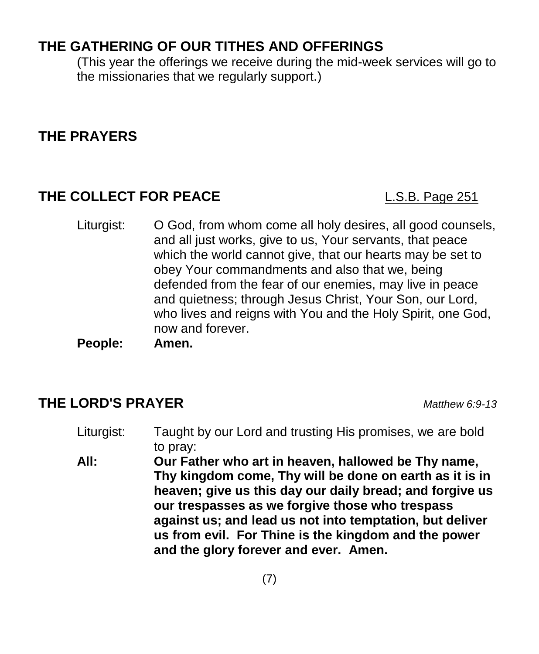# **THE GATHERING OF OUR TITHES AND OFFERINGS**

(This year the offerings we receive during the mid-week services will go to the missionaries that we regularly support.)

## **THE PRAYERS**

## **THE COLLECT FOR PEACE** L.S.B. Page 251

- Liturgist: O God, from whom come all holy desires, all good counsels, and all just works, give to us, Your servants, that peace which the world cannot give, that our hearts may be set to obey Your commandments and also that we, being defended from the fear of our enemies, may live in peace and quietness; through Jesus Christ, Your Son, our Lord, who lives and reigns with You and the Holy Spirit, one God, now and forever.
- **People: Amen.**

### **THE LORD'S PRAYER** *Matthew 6:9-13*

- Liturgist: Taught by our Lord and trusting His promises, we are bold to pray:
- **All: Our Father who art in heaven, hallowed be Thy name, Thy kingdom come, Thy will be done on earth as it is in heaven; give us this day our daily bread; and forgive us our trespasses as we forgive those who trespass against us; and lead us not into temptation, but deliver us from evil. For Thine is the kingdom and the power and the glory forever and ever. Amen.**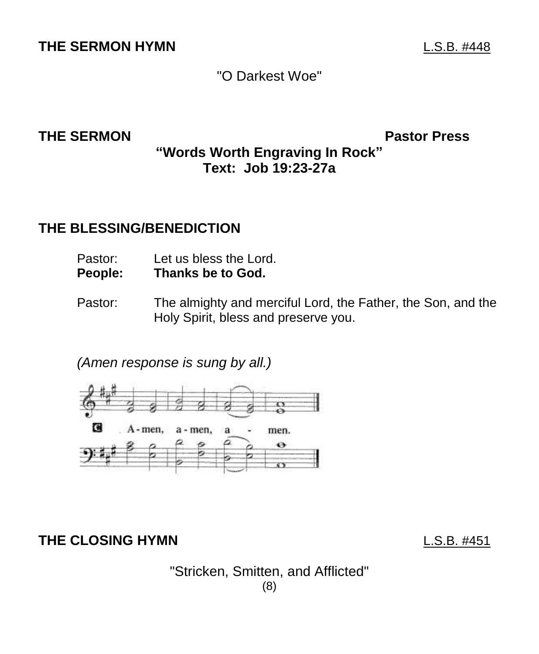## **THE SERMON HYMN** L.S.B. #448

# "O Darkest Woe"

**THE SERMON Pastor Press**

### **"Words Worth Engraving In Rock" Text: Job 19:23-27a**

#### **THE BLESSING/BENEDICTION**

- Pastor: Let us bless the Lord.
- **People: Thanks be to God.**
- Pastor: The almighty and merciful Lord, the Father, the Son, and the Holy Spirit, bless and preserve you.

*(Amen response is sung by all.)*



**THE CLOSING HYMN** L.S.B. #451

"Stricken, Smitten, and Afflicted" (8)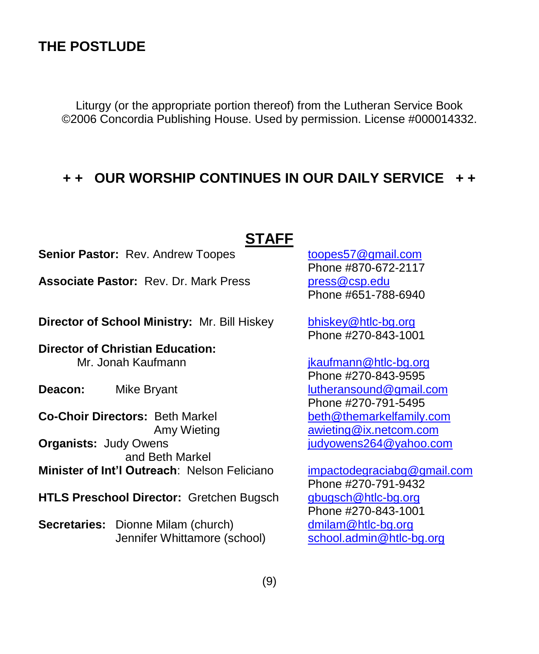#### **THE POSTLUDE**

Liturgy (or the appropriate portion thereof) from the Lutheran Service Book ©2006 Concordia Publishing House. Used by permission. License #000014332.

#### **+ + OUR WORSHIP CONTINUES IN OUR DAILY SERVICE + +**

#### **STAFF**

**Senior Pastor:** Rev. Andrew Toopes [toopes57@gmail.com](mailto:toopes57@gmail.com)

Associate Pastor: Rev. Dr. Mark Press [press@csp.edu](mailto:press@csp.edu)

**Director of School Ministry:** Mr. Bill Hiskey [bhiskey@htlc-bg.org](mailto:bhiskey@htlc-bg.org)

**Director of Christian Education:**  Mr. Jonah Kaufmann is a state of the state of the state of the state of the state of the state of the state of the state of the state of the state of the state of the state of the state of the state of the state of the sta

**Co-Choir Directors:** Beth Markel beth **[beth@themarkelfamily.com](mailto:beth@themarkelfamily.com) Organists:** Judy Owens **imaging the state of the state of the state of the state of the state of the state of the state of the state of the state of the state of the state of the state of the state of the state of the sta**  and Beth Markel **Minister of Int'l Outreach: Nelson Feliciano [impactodegraciabg@gmail.com](mailto:impactodegraciabg@gmail.com)** 

**HTLS Preschool Director:** Gretchen Bugsch [gbugsch@htlc-bg.org](mailto:gbugsch@htlc-bg.org)

**Secretaries:** Dionne Milam (church) [dmilam@htlc-bg.org](mailto:dmilam@htlc-bg.org) Jennifer Whittamore (school) [school.admin@htlc-bg.org](mailto:school.admin@htlc-bg.org)

Phone #870-672-2117 Phone #651-788-6940

Phone #270-843-1001

Phone #270-843-9595 **Deacon:** Mike Bryant Mike Bryant Mike Bryant Muslim Muslim Muslim Lutheransound@gmail.com Phone #270-791-5495 Amy Wieting **[awieting@ix.netcom.com](mailto:awieting@ix.netcom.com)** 

> Phone #270-791-9432 Phone #270-843-1001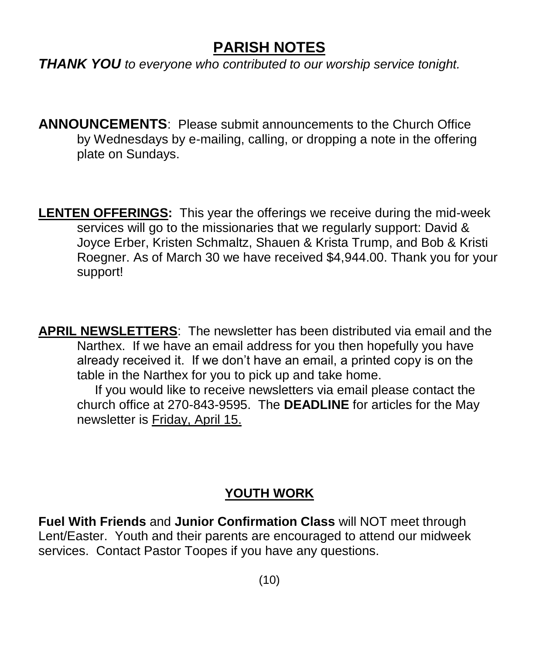# **PARISH NOTES**

*THANK YOU to everyone who contributed to our worship service tonight.* 

**ANNOUNCEMENTS**: Please submit announcements to the Church Office by Wednesdays by e-mailing, calling, or dropping a note in the offering plate on Sundays.

**LENTEN OFFERINGS:** This year the offerings we receive during the mid-week services will go to the missionaries that we regularly support: David & Joyce Erber, Kristen Schmaltz, Shauen & Krista Trump, and Bob & Kristi Roegner. As of March 30 we have received \$4,944.00. Thank you for your support!

**APRIL NEWSLETTERS**: The newsletter has been distributed via email and the Narthex. If we have an email address for you then hopefully you have already received it. If we don't have an email, a printed copy is on the table in the Narthex for you to pick up and take home.

 If you would like to receive newsletters via email please contact the church office at 270-843-9595. The **DEADLINE** for articles for the May newsletter is Friday, April 15.

## **YOUTH WORK**

**Fuel With Friends** and **Junior Confirmation Class** will NOT meet through Lent/Easter. Youth and their parents are encouraged to attend our midweek services. Contact Pastor Toopes if you have any questions.